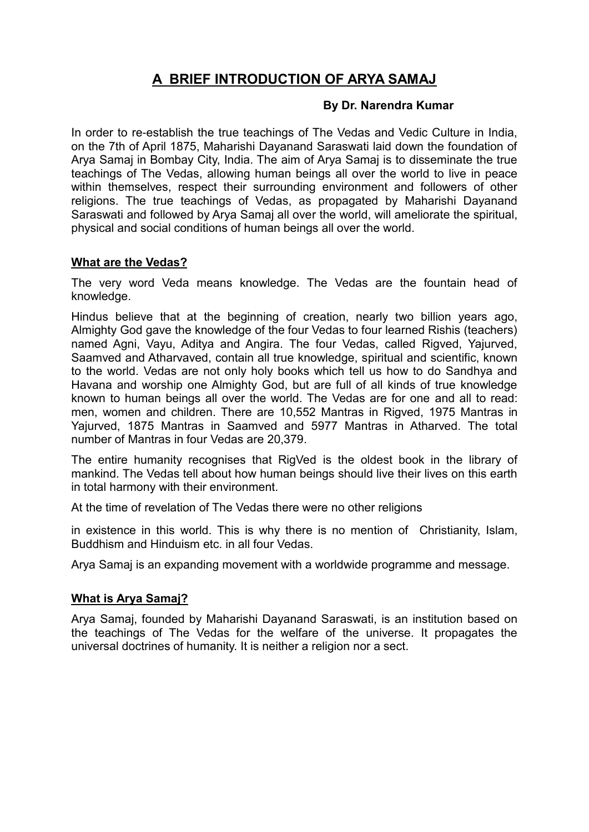# **A BRIEF INTRODUCTION OF ARYA SAMAJ**

#### **By Dr. Narendra Kumar**

In order to re-establish the true teachings of The Vedas and Vedic Culture in India, on the 7th of April 1875, Maharishi Dayanand Saraswati laid down the foundation of Arya Samaj in Bombay City, India. The aim of Arya Samaj is to disseminate the true teachings of The Vedas, allowing human beings all over the world to live in peace within themselves, respect their surrounding environment and followers of other religions. The true teachings of Vedas, as propagated by Maharishi Dayanand Saraswati and followed by Arya Samaj all over the world, will ameliorate the spiritual, physical and social conditions of human beings all over the world.

## **What are the Vedas?**

The very word Veda means knowledge. The Vedas are the fountain head of knowledge.

Hindus believe that at the beginning of creation, nearly two billion years ago, Almighty God gave the knowledge of the four Vedas to four learned Rishis (teachers) named Agni, Vayu, Aditya and Angira. The four Vedas, called Rigved, Yajurved, Saamved and Atharvaved, contain all true knowledge, spiritual and scientific, known to the world. Vedas are not only holy books which tell us how to do Sandhya and Havana and worship one Almighty God, but are full of all kinds of true knowledge known to human beings all over the world. The Vedas are for one and all to read: men, women and children. There are 10,552 Mantras in Rigved, 1975 Mantras in Yajurved, 1875 Mantras in Saamved and 5977 Mantras in Atharved. The total number of Mantras in four Vedas are 20,379.

The entire humanity recognises that RigVed is the oldest book in the library of mankind. The Vedas tell about how human beings should live their lives on this earth in total harmony with their environment.

At the time of revelation of The Vedas there were no other religions

in existence in this world. This is why there is no mention of Christianity, Islam, Buddhism and Hinduism etc. in all four Vedas.

Arya Samaj is an expanding movement with a worldwide programme and message.

#### **What is Arya Samaj?**

Arya Samaj, founded by Maharishi Dayanand Saraswati, is an institution based on the teachings of The Vedas for the welfare of the universe. It propagates the universal doctrines of humanity. It is neither a religion nor a sect.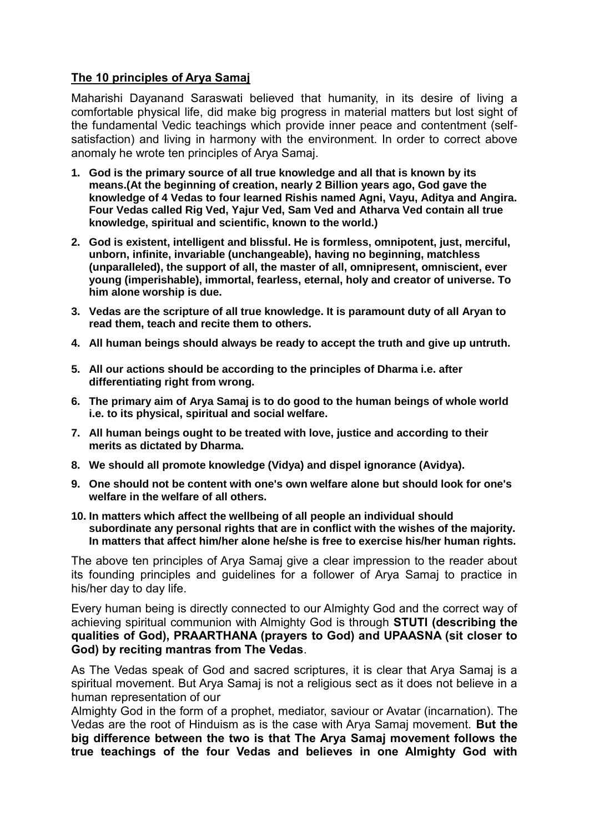## **The 10 principles of Arya Samaj**

Maharishi Dayanand Saraswati believed that humanity, in its desire of living a comfortable physical life, did make big progress in material matters but lost sight of the fundamental Vedic teachings which provide inner peace and contentment (selfsatisfaction) and living in harmony with the environment. In order to correct above anomaly he wrote ten principles of Arya Samaj.

- **1. God is the primary source of all true knowledge and all that is known by its means.(At the beginning of creation, nearly 2 Billion years ago, God gave the knowledge of 4 Vedas to four learned Rishis named Agni, Vayu, Aditya and Angira. Four Vedas called Rig Ved, Yajur Ved, Sam Ved and Atharva Ved contain all true knowledge, spiritual and scientific, known to the world.)**
- **2. God is existent, intelligent and blissful. He is formless, omnipotent, just, merciful, unborn, infinite, invariable (unchangeable), having no beginning, matchless (unparalleled), the support of all, the master of all, omnipresent, omniscient, ever young (imperishable), immortal, fearless, eternal, holy and creator of universe. To him alone worship is due.**
- **3. Vedas are the scripture of all true knowledge. It is paramount duty of all Aryan to read them, teach and recite them to others.**
- **4. All human beings should always be ready to accept the truth and give up untruth.**
- **5. All our actions should be according to the principles of Dharma i.e. after differentiating right from wrong.**
- **6. The primary aim of Arya Samaj is to do good to the human beings of whole world i.e. to its physical, spiritual and social welfare.**
- **7. All human beings ought to be treated with love, justice and according to their merits as dictated by Dharma.**
- **8. We should all promote knowledge (Vidya) and dispel ignorance (Avidya).**
- **9. One should not be content with one's own welfare alone but should look for one's welfare in the welfare of all others.**
- **10. In matters which affect the wellbeing of all people an individual should subordinate any personal rights that are in conflict with the wishes of the majority. In matters that affect him/her alone he/she is free to exercise his/her human rights.**

The above ten principles of Arya Samaj give a clear impression to the reader about its founding principles and guidelines for a follower of Arya Samaj to practice in his/her day to day life.

Every human being is directly connected to our Almighty God and the correct way of achieving spiritual communion with Almighty God is through **STUTI (describing the qualities of God), PRAARTHANA (prayers to God) and UPAASNA (sit closer to God) by reciting mantras from The Vedas**.

As The Vedas speak of God and sacred scriptures, it is clear that Arya Samaj is a spiritual movement. But Arya Samaj is not a religious sect as it does not believe in a human representation of our

Almighty God in the form of a prophet, mediator, saviour or Avatar (incarnation). The Vedas are the root of Hinduism as is the case with Arya Samaj movement. **But the big difference between the two is that The Arya Samaj movement follows the true teachings of the four Vedas and believes in one Almighty God with**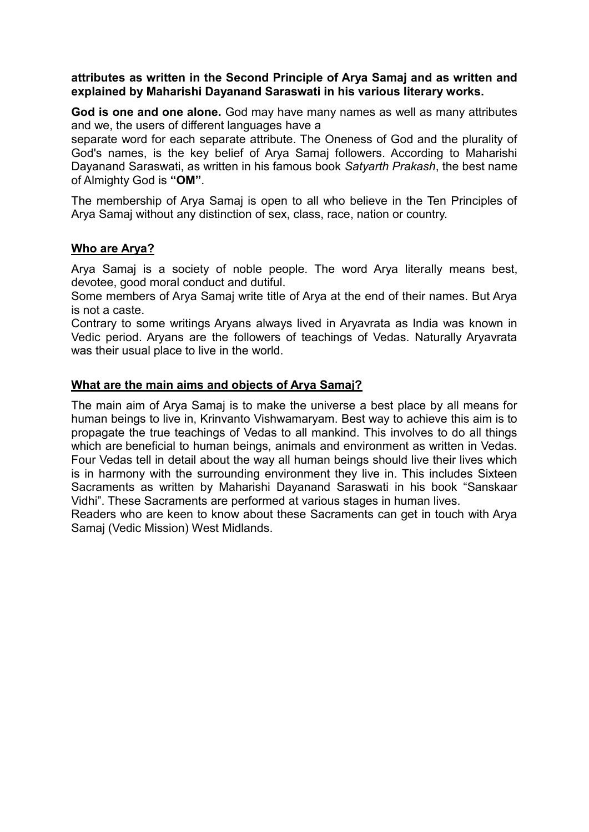#### **attributes as written in the Second Principle of Arya Samaj and as written and explained by Maharishi Dayanand Saraswati in his various literary works.**

**God is one and one alone.** God may have many names as well as many attributes and we, the users of different languages have a

separate word for each separate attribute. The Oneness of God and the plurality of God's names, is the key belief of Arya Samaj followers. According to Maharishi Dayanand Saraswati, as written in his famous book *Satyarth Prakash*, the best name of Almighty God is **"OM"**.

The membership of Arya Samaj is open to all who believe in the Ten Principles of Arya Samaj without any distinction of sex, class, race, nation or country.

#### **Who are Arya?**

Arya Samaj is a society of noble people. The word Arya literally means best, devotee, good moral conduct and dutiful.

Some members of Arya Samaj write title of Arya at the end of their names. But Arya is not a caste.

Contrary to some writings Aryans always lived in Aryavrata as India was known in Vedic period. Aryans are the followers of teachings of Vedas. Naturally Aryavrata was their usual place to live in the world.

#### **What are the main aims and objects of Arya Samaj?**

The main aim of Arya Samaj is to make the universe a best place by all means for human beings to live in, Krinvanto Vishwamaryam. Best way to achieve this aim is to propagate the true teachings of Vedas to all mankind. This involves to do all things which are beneficial to human beings, animals and environment as written in Vedas. Four Vedas tell in detail about the way all human beings should live their lives which is in harmony with the surrounding environment they live in. This includes Sixteen Sacraments as written by Maharishi Dayanand Saraswati in his book "Sanskaar Vidhi". These Sacraments are performed at various stages in human lives.

Readers who are keen to know about these Sacraments can get in touch with Arya Samaj (Vedic Mission) West Midlands.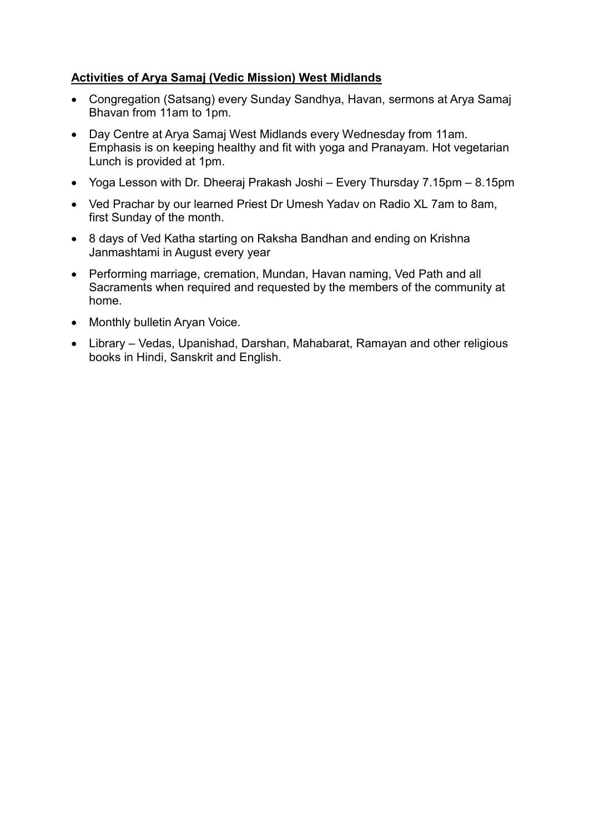## **Activities of Arya Samaj (Vedic Mission) West Midlands**

- Congregation (Satsang) every Sunday Sandhya, Havan, sermons at Arya Samaj Bhavan from 11am to 1pm.
- Day Centre at Arya Samaj West Midlands every Wednesday from 11am. Emphasis is on keeping healthy and fit with yoga and Pranayam. Hot vegetarian Lunch is provided at 1pm.
- Yoga Lesson with Dr. Dheeraj Prakash Joshi Every Thursday 7.15pm 8.15pm
- Ved Prachar by our learned Priest Dr Umesh Yadav on Radio XL 7am to 8am, first Sunday of the month.
- 8 days of Ved Katha starting on Raksha Bandhan and ending on Krishna Janmashtami in August every year
- Performing marriage, cremation, Mundan, Havan naming, Ved Path and all Sacraments when required and requested by the members of the community at home.
- Monthly bulletin Aryan Voice.
- Library Vedas, Upanishad, Darshan, Mahabarat, Ramayan and other religious books in Hindi, Sanskrit and English.